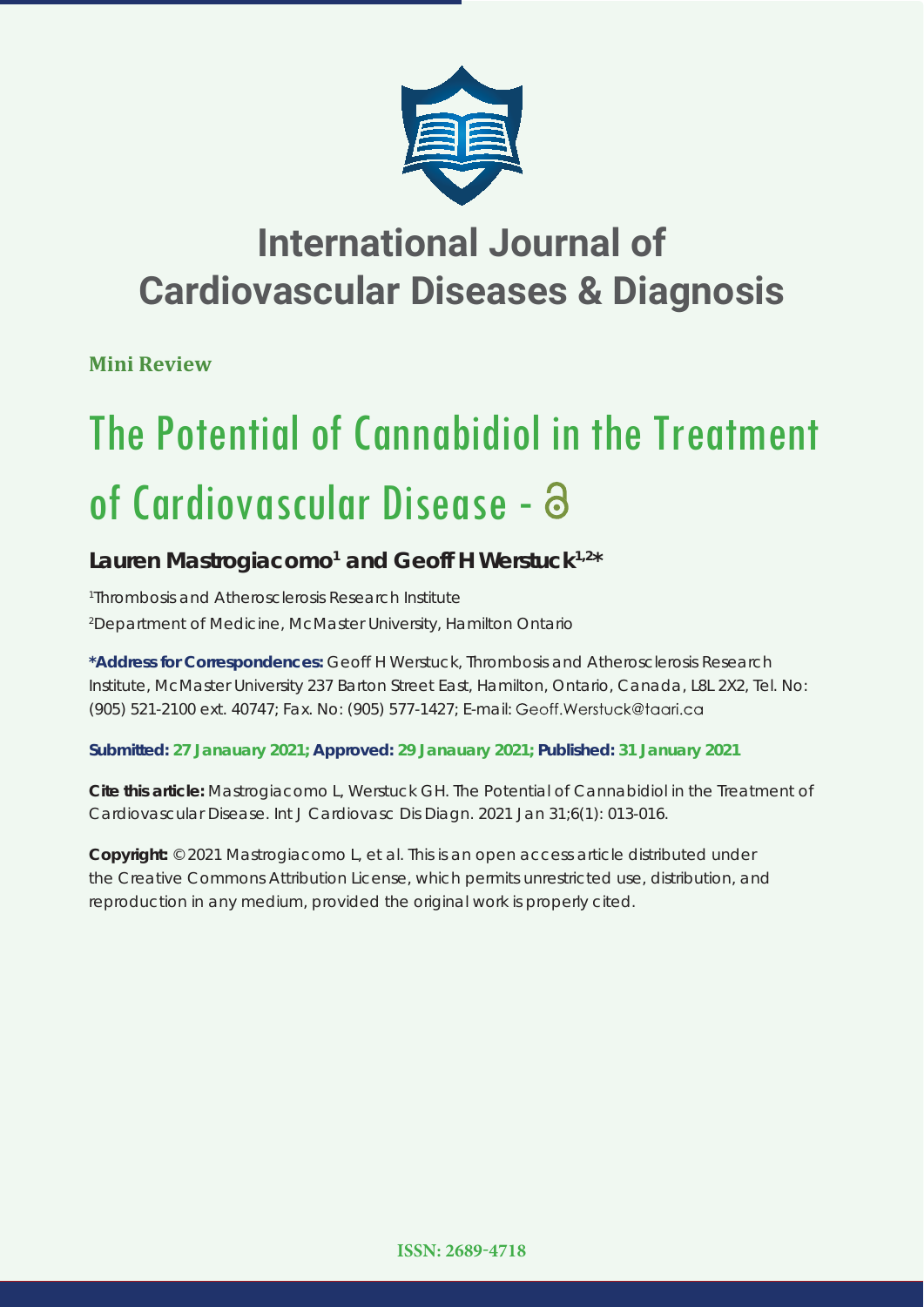

## **International Journal of Cardiovascular Diseases & Diagnosis**

**Mini Review**

# The Potential of Cannabidiol in the Treatment of Cardiovascular Disease -

### Lauren Mastrogiacomo<sup>1</sup> and Geoff H Werstuck<sup>1,2\*</sup>

*1 Thrombosis and Atherosclerosis Research Institute 2 Department of Medicine, McMaster University, Hamilton Ontario*

**\*Address for Correspondences:** Geoff H Werstuck, Thrombosis and Atherosclerosis Research Institute, McMaster University 237 Barton Street East, Hamilton, Ontario, Canada, L8L 2X2, Tel. No: (905) 521-2100 ext. 40747; Fax. No: (905) 577-1427; E-mail:

**Submitted: 27 Janauary 2021; Approved: 29 Janauary 2021; Published: 31 January 2021**

**Cite this article:** Mastrogiacomo L, Werstuck GH. The Potential of Cannabidiol in the Treatment of Cardiovascular Disease. Int J Cardiovasc Dis Diagn. 2021 Jan 31;6(1): 013-016.

**Copyright:** © 2021 Mastrogiacomo L, et al. This is an open access article distributed under the Creative Commons Attribution License, which permits unrestricted use, distribution, and reproduction in any medium, provided the original work is properly cited.

**ISSN: 2689-4718**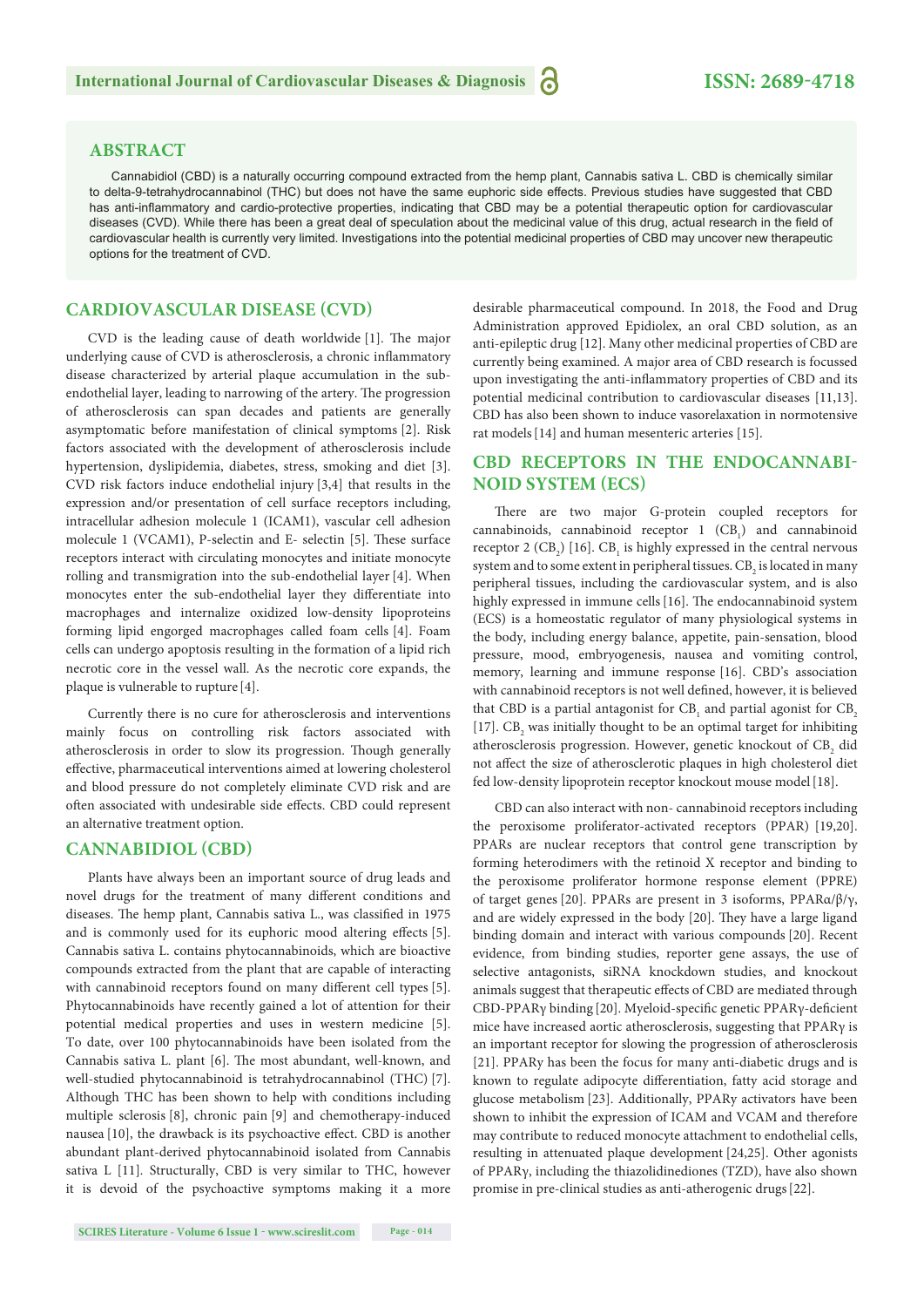#### **ABSTRACT**

Cannabidiol (CBD) is a naturally occurring compound extracted from the hemp plant, Cannabis sativa L. CBD is chemically similar to delta-9-tetrahydrocannabinol (THC) but does not have the same euphoric side effects. Previous studies have suggested that CBD has anti-inflammatory and cardio-protective properties, indicating that CBD may be a potential therapeutic option for cardiovascular diseases (CVD). While there has been a great deal of speculation about the medicinal value of this drug, actual research in the field of cardiovascular health is currently very limited. Investigations into the potential medicinal properties of CBD may uncover new therapeutic options for the treatment of CVD.

#### **CARDIOVASCULAR DISEASE (CVD)**

CVD is the leading cause of death worldwide  $[1]$ . The major underlying cause of CVD is atherosclerosis, a chronic inflammatory disease characterized by arterial plaque accumulation in the subendothelial layer, leading to narrowing of the artery. The progression of atherosclerosis can span decades and patients are generally asymptomatic before manifestation of clinical symptoms [2]. Risk factors associated with the development of atherosclerosis include hypertension, dyslipidemia, diabetes, stress, smoking and diet [3]. CVD risk factors induce endothelial injury [3,4] that results in the expression and/or presentation of cell surface receptors including, intracellular adhesion molecule 1 (ICAM1), vascular cell adhesion molecule 1 (VCAM1), P-selectin and E- selectin [5]. These surface receptors interact with circulating monocytes and initiate monocyte rolling and transmigration into the sub-endothelial layer[4]. When monocytes enter the sub-endothelial layer they differentiate into macrophages and internalize oxidized low-density lipoproteins forming lipid engorged macrophages called foam cells [4]. Foam cells can undergo apoptosis resulting in the formation of a lipid rich necrotic core in the vessel wall. As the necrotic core expands, the plaque is vulnerable to rupture [4].

Currently there is no cure for atherosclerosis and interventions mainly focus on controlling risk factors associated with atherosclerosis in order to slow its progression. Though generally effective, pharmaceutical interventions aimed at lowering cholesterol and blood pressure do not completely eliminate CVD risk and are often associated with undesirable side effects. CBD could represent an alternative treatment option.

#### **CANNABIDIOL (CBD)**

Plants have always been an important source of drug leads and novel drugs for the treatment of many different conditions and diseases. The hemp plant, Cannabis sativa L., was classified in 1975 and is commonly used for its euphoric mood altering effects [5]. Cannabis sativa L. contains phytocannabinoids, which are bioactive compounds extracted from the plant that are capable of interacting with cannabinoid receptors found on many different cell types [5]. Phytocannabinoids have recently gained a lot of attention for their potential medical properties and uses in western medicine [5]. To date, over 100 phytocannabinoids have been isolated from the Cannabis sativa L. plant [6]. The most abundant, well-known, and well-studied phytocannabinoid is tetrahydrocannabinol (THC) [7]. Although THC has been shown to help with conditions including multiple sclerosis [8], chronic pain [9] and chemotherapy-induced nausea [10], the drawback is its psychoactive effect. CBD is another abundant plant-derived phytocannabinoid isolated from Cannabis sativa L [11]*.* Structurally, CBD is very similar to THC, however it is devoid of the psychoactive symptoms making it a more

Administration approved Epidiolex, an oral CBD solution, as an anti-epileptic drug [12]. Many other medicinal properties of CBD are currently being examined. A major area of CBD research is focussed upon investigating the anti-inflammatory properties of CBD and its potential medicinal contribution to cardiovascular diseases [11,13]. CBD has also been shown to induce vasorelaxation in normotensive rat models[14] and human mesenteric arteries [15].

desirable pharmaceutical compound. In 2018, the Food and Drug

#### **CBD RECEPTORS IN THE ENDOCANNABI-NOID SYSTEM (ECS)**

There are two major G-protein coupled receptors for cannabinoids, cannabinoid receptor  $1$  (CB<sub>1</sub>) and cannabinoid receptor 2 (CB<sub>2</sub>) [16]. CB<sub>1</sub> is highly expressed in the central nervous system and to some extent in peripheral tissues.  $\rm CB_2$  is located in many peripheral tissues, including the cardiovascular system, and is also highly expressed in immune cells [16]. The endocannabinoid system (ECS) is a homeostatic regulator of many physiological systems in the body, including energy balance, appetite, pain-sensation, blood pressure, mood, embryogenesis, nausea and vomiting control, memory, learning and immune response [16]. CBD's association with cannabinoid receptors is not well defined, however, it is believed that CBD is a partial antagonist for  $\text{CB}_1$  and partial agonist for  $\text{CB}_2$ [17].  $CB_2$  was initially thought to be an optimal target for inhibiting atherosclerosis progression. However, genetic knockout of  $\mathrm{CB}_2$  did not affect the size of atherosclerotic plaques in high cholesterol diet fed low-density lipoprotein receptor knockout mouse model [18].

CBD can also interact with non- cannabinoid receptors including the peroxisome proliferator-activated receptors (PPAR) [19,20]. PPARs are nuclear receptors that control gene transcription by forming heterodimers with the retinoid X receptor and binding to the peroxisome proliferator hormone response element (PPRE) of target genes [20]. PPARs are present in 3 isoforms, PPARα/β/γ, and are widely expressed in the body [20]. They have a large ligand binding domain and interact with various compounds [20]. Recent evidence, from binding studies, reporter gene assays, the use of selective antagonists, siRNA knockdown studies, and knockout animals suggest that therapeutic effects of CBD are mediated through CBD-PPARγ binding [20]. Myeloid-specific genetic PPARγ-deficient mice have increased aortic atherosclerosis, suggesting that PPARγ is an important receptor for slowing the progression of atherosclerosis [21]. PPARy has been the focus for many anti-diabetic drugs and is known to regulate adipocyte differentiation, fatty acid storage and glucose metabolism [23]. Additionally, PPARy activators have been shown to inhibit the expression of ICAM and VCAM and therefore may contribute to reduced monocyte attachment to endothelial cells, resulting in attenuated plaque development [24,25]. Other agonists of PPARγ, including the thiazolidinediones (TZD), have also shown promise in pre-clinical studies as anti-atherogenic drugs[22].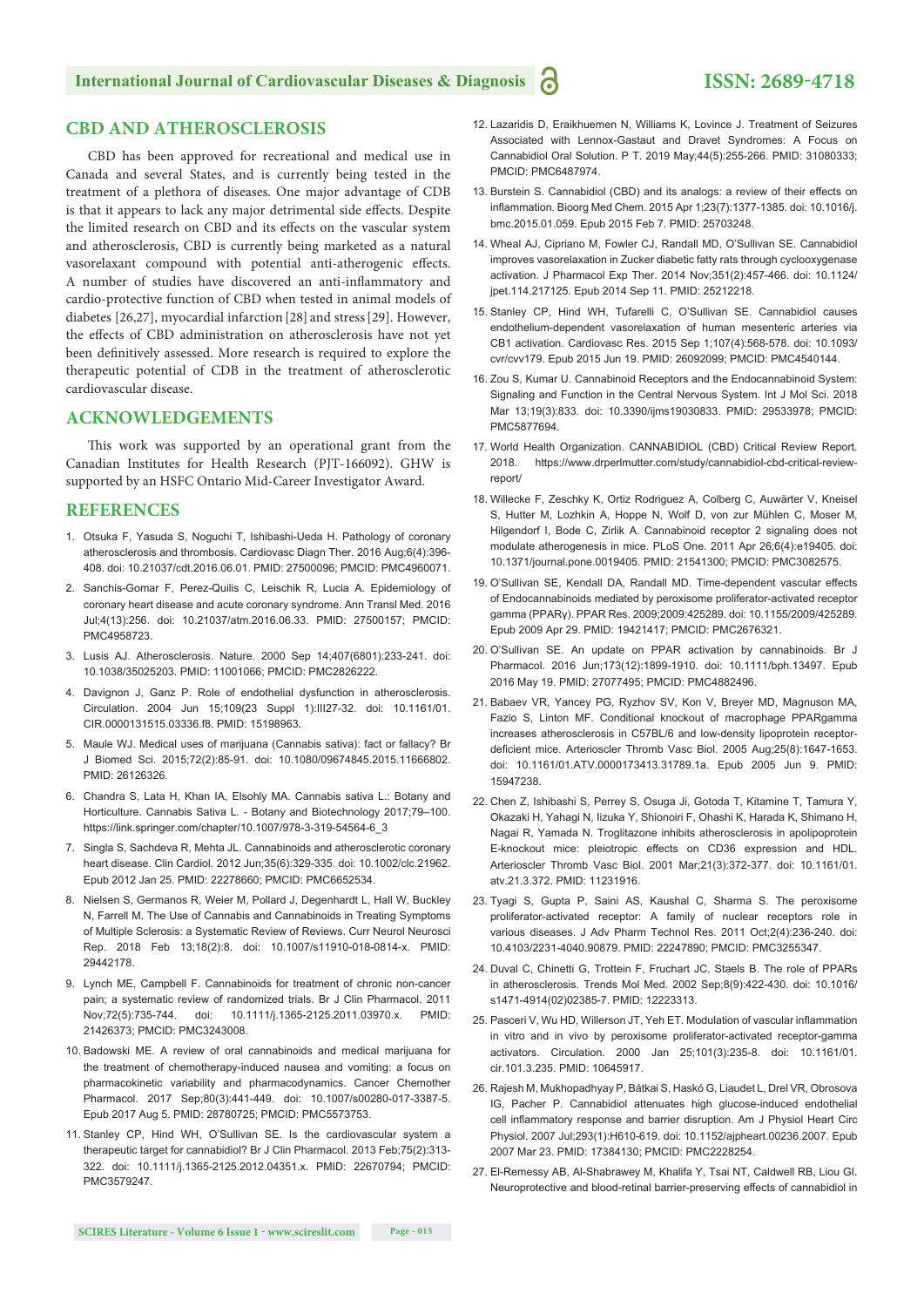#### **International Journal of Cardiovascular Diseases & Diagnosis 1 ISSN: 2689-4718**

#### **CBD AND ATHEROSCLEROSIS**

CBD has been approved for recreational and medical use in Canada and several States, and is currently being tested in the treatment of a plethora of diseases. One major advantage of CDB is that it appears to lack any major detrimental side effects. Despite the limited research on CBD and its effects on the vascular system and atherosclerosis, CBD is currently being marketed as a natural vasorelaxant compound with potential anti-atherogenic effects. A number of studies have discovered an anti-inflammatory and cardio-protective function of CBD when tested in animal models of diabetes [26,27], myocardial infarction [28] and stress[29]. However, the effects of CBD administration on atherosclerosis have not yet been definitively assessed. More research is required to explore the therapeutic potential of CDB in the treatment of atherosclerotic cardiovascular disease.

#### **ACKNOWLEDGEMENTS**

This work was supported by an operational grant from the Canadian Institutes for Health Research (PJT-166092). GHW is supported by an HSFC Ontario Mid-Career Investigator Award.

#### **REFERENCES**

- 1. Otsuka F, Yasuda S, Noguchi T, Ishibashi-Ueda H. Pathology of coronary atherosclerosis and thrombosis. Cardiovasc Diagn Ther. 2016 Aug;6(4):396- 408. doi: 10.21037/cdt.2016.06.01. PMID: 27500096; PMCID: PMC4960071.
- 2. Sanchis-Gomar F, Perez-Quilis C, Leischik R, Lucia A. Epidemiology of coronary heart disease and acute coronary syndrome. Ann Transl Med. 2016 Jul;4(13):256. doi: 10.21037/atm.2016.06.33. PMID: 27500157; PMCID: PMC4958723.
- 3. Lusis AJ. Atherosclerosis. Nature. 2000 Sep 14;407(6801):233-241. doi: 10.1038/35025203. PMID: 11001066; PMCID: PMC2826222.
- 4. Davignon J, Ganz P. Role of endothelial dysfunction in atherosclerosis. Circulation. 2004 Jun 15;109(23 Suppl 1):III27-32. doi: 10.1161/01. CIR.0000131515.03336.f8. PMID: 15198963.
- 5. Maule WJ. Medical uses of marijuana (Cannabis sativa): fact or fallacy? Br J Biomed Sci. 2015;72(2):85-91. doi: 10.1080/09674845.2015.11666802. PMID: 26126326.
- 6. Chandra S, Lata H, Khan IA, Elsohly MA. Cannabis sativa L.: Botany and Horticulture. Cannabis Sativa L. - Botany and Biotechnology 2017;79–100. https://link.springer.com/chapter/10.1007/978-3-319-54564-6\_3
- 7. Singla S, Sachdeva R, Mehta JL. Cannabinoids and atherosclerotic coronary heart disease. Clin Cardiol. 2012 Jun;35(6):329-335. doi: 10.1002/clc.21962. Epub 2012 Jan 25. PMID: 22278660; PMCID: PMC6652534.
- 8. Nielsen S, Germanos R, Weier M, Pollard J, Degenhardt L, Hall W, Buckley N, Farrell M. The Use of Cannabis and Cannabinoids in Treating Symptoms of Multiple Sclerosis: a Systematic Review of Reviews. Curr Neurol Neurosci Rep. 2018 Feb 13;18(2):8. doi: 10.1007/s11910-018-0814-x. PMID: 29442178.
- 9. Lynch ME, Campbell F. Cannabinoids for treatment of chronic non-cancer pain; a systematic review of randomized trials. Br J Clin Pharmacol. 2011 Nov;72(5):735-744. doi: 10.1111/j.1365-2125.2011.03970.x. PMID: 21426373; PMCID: PMC3243008.
- 10. Badowski ME. A review of oral cannabinoids and medical marijuana for the treatment of chemotherapy-induced nausea and vomiting: a focus on pharmacokinetic variability and pharmacodynamics. Cancer Chemother Pharmacol. 2017 Sep;80(3):441-449. doi: 10.1007/s00280-017-3387-5. Epub 2017 Aug 5. PMID: 28780725; PMCID: PMC5573753.
- 11. Stanley CP, Hind WH, O'Sullivan SE. Is the cardiovascular system a therapeutic target for cannabidiol? Br J Clin Pharmacol. 2013 Feb;75(2):313- 322. doi: 10.1111/j.1365-2125.2012.04351.x. PMID: 22670794; PMCID: PMC3579247.
- 12. Lazaridis D, Eraikhuemen N, Williams K, Lovince J. Treatment of Seizures Associated with Lennox-Gastaut and Dravet Syndromes: A Focus on Cannabidiol Oral Solution. P T. 2019 May;44(5):255-266. PMID: 31080333; PMCID: PMC6487974.
- 13. Burstein S. Cannabidiol (CBD) and its analogs: a review of their effects on inflammation. Bioorg Med Chem. 2015 Apr 1;23(7):1377-1385. doi: 10.1016/j. bmc.2015.01.059. Epub 2015 Feb 7. PMID: 25703248.
- 14. Wheal AJ, Cipriano M, Fowler CJ, Randall MD, O'Sullivan SE. Cannabidiol improves vasorelaxation in Zucker diabetic fatty rats through cyclooxygenase activation. J Pharmacol Exp Ther. 2014 Nov;351(2):457-466. doi: 10.1124/ jpet.114.217125. Epub 2014 Sep 11. PMID: 25212218.
- 15. Stanley CP, Hind WH, Tufarelli C, O'Sullivan SE. Cannabidiol causes endothelium-dependent vasorelaxation of human mesenteric arteries via CB1 activation. Cardiovasc Res. 2015 Sep 1;107(4):568-578. doi: 10.1093/ cvr/cvv179. Epub 2015 Jun 19. PMID: 26092099; PMCID: PMC4540144.
- 16. Zou S, Kumar U. Cannabinoid Receptors and the Endocannabinoid System: Signaling and Function in the Central Nervous System. Int J Mol Sci. 2018 Mar 13;19(3):833. doi: 10.3390/ijms19030833. PMID: 29533978; PMCID: PMC5877694.
- 17. World Health Organization. CANNABIDIOL (CBD) Critical Review Report. 2018. https://www.drperlmutter.com/study/cannabidiol-cbd-critical-reviewreport/
- 18. Willecke F, Zeschky K, Ortiz Rodriguez A, Colberg C, Auwärter V, Kneisel S, Hutter M, Lozhkin A, Hoppe N, Wolf D, von zur Mühlen C, Moser M, Hilgendorf I, Bode C, Zirlik A. Cannabinoid receptor 2 signaling does not modulate atherogenesis in mice. PLoS One. 2011 Apr 26;6(4):e19405. doi: 10.1371/journal.pone.0019405. PMID: 21541300; PMCID: PMC3082575.
- 19. O'Sullivan SE, Kendall DA, Randall MD. Time-dependent vascular effects of Endocannabinoids mediated by peroxisome proliferator-activated receptor gamma (PPARγ). PPAR Res. 2009;2009:425289. doi: 10.1155/2009/425289. Epub 2009 Apr 29. PMID: 19421417; PMCID: PMC2676321.
- 20. O'Sullivan SE. An update on PPAR activation by cannabinoids. Br J Pharmacol. 2016 Jun;173(12):1899-1910. doi: 10.1111/bph.13497. Epub 2016 May 19. PMID: 27077495; PMCID: PMC4882496.
- 21. Babaev VR, Yancey PG, Ryzhov SV, Kon V, Breyer MD, Magnuson MA, Fazio S, Linton MF. Conditional knockout of macrophage PPARgamma increases atherosclerosis in C57BL/6 and low-density lipoprotein receptordeficient mice. Arterioscler Thromb Vasc Biol. 2005 Aug;25(8):1647-1653. doi: 10.1161/01.ATV.0000173413.31789.1a. Epub 2005 Jun 9. PMID: 15947238.
- 22. Chen Z, Ishibashi S, Perrey S, Osuga Ji, Gotoda T, Kitamine T, Tamura Y, Okazaki H, Yahagi N, Iizuka Y, Shionoiri F, Ohashi K, Harada K, Shimano H, Nagai R, Yamada N. Troglitazone inhibits atherosclerosis in apolipoprotein E-knockout mice: pleiotropic effects on CD36 expression and HDL. Arterioscler Thromb Vasc Biol. 2001 Mar;21(3):372-377. doi: 10.1161/01. atv.21.3.372. PMID: 11231916.
- 23. Tyagi S, Gupta P, Saini AS, Kaushal C, Sharma S. The peroxisome proliferator-activated receptor: A family of nuclear receptors role in various diseases. J Adv Pharm Technol Res. 2011 Oct;2(4):236-240. doi: 10.4103/2231-4040.90879. PMID: 22247890; PMCID: PMC3255347.
- 24. Duval C, Chinetti G, Trottein F, Fruchart JC, Staels B. The role of PPARs in atherosclerosis. Trends Mol Med. 2002 Sep;8(9):422-430. doi: 10.1016/ s1471-4914(02)02385-7. PMID: 12223313.
- 25. Pasceri V, Wu HD, Willerson JT, Yeh ET. Modulation of vascular inflammation in vitro and in vivo by peroxisome proliferator-activated receptor-gamma activators. Circulation. 2000 Jan 25;101(3):235-8. doi: 10.1161/01. cir.101.3.235. PMID: 10645917.
- 26. Rajesh M, Mukhopadhyay P, Bátkai S, Haskó G, Liaudet L, Drel VR, Obrosova IG, Pacher P. Cannabidiol attenuates high glucose-induced endothelial cell inflammatory response and barrier disruption. Am J Physiol Heart Circ Physiol. 2007 Jul;293(1):H610-619. doi: 10.1152/ajpheart.00236.2007. Epub 2007 Mar 23. PMID: 17384130; PMCID: PMC2228254.
- 27. El-Remessy AB, Al-Shabrawey M, Khalifa Y, Tsai NT, Caldwell RB, Liou GI. Neuroprotective and blood-retinal barrier-preserving effects of cannabidiol in